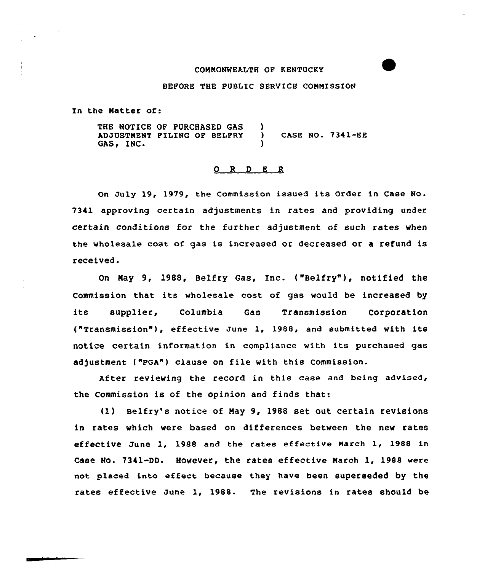### COMMONWEALTH OF KENTUCKY

#### BEFORE THE PUBLIC SERVICE COMMISSION

In the Matter of:

THE NOTICE OF PURCHASED GAS ADJUSTMENT PILING OF BELFRY (CASE NO. 7341-EE<br>GAS, INC. )

#### O R D E R

On July 19, 1979, the Commission issued its Order in Case No. 7341 approving certain adjustments in rates and providing under certain conditions for the further adjustment of such rates when the wholesale cost of qas is increased or decreased or a refund is received.

On May 9, 1988, Belfry Gas, Inc. ("Belfry" ), notified the Commission that its wholesale cost of gas would be increased by its supplier, Columbia Gas Transmission Corporation ("Transmission" ), effective June 1, 1988, and submitted with its notice certain information in compliance with its purchased gas adjustment ("PGA") clause on file with this Commission.

After revieving the record in this case and being advised, the Commission is of the opinion and finds that:

(1) Belfry's notice of May 9, 1988 set out certain revisions in rates which were based on differences between the new rates effective June 1, 1988 and the rates effective March 1, 1988 in Case No. 7341-DD. However, the rates effective March 1, 1988 were not placed into effect because they have been superseded by the rates effective June 1, 1988. The revisions in rates should be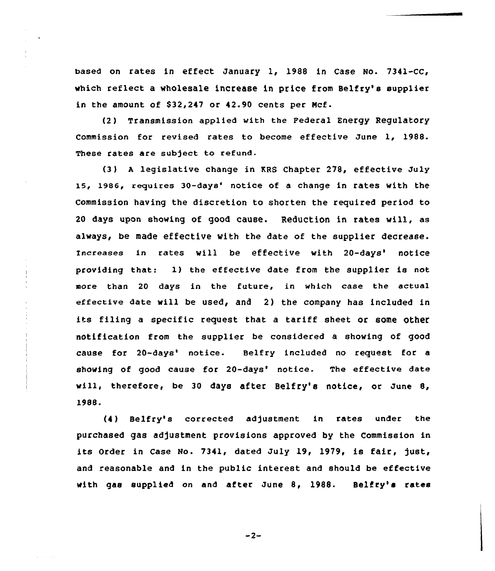based on rates in effect January 1, 1988 in Case No. 7341-CC, which reflect a wholesale increase in price from Belfry's supplier in the amount of \$32,247 or 42.90 cents per Mcf.

(2) Transmission applied with the Federal Energy Regulatory Commission for revised rates to become effective June 1, 1988. These rates are subject to refund.

(3 ) <sup>A</sup> legislative change in KRS Chapter 278, effective July 15, 1986, requires 30-days' notice of a change in rates with the Commission having the discretion to shorten the required period to 20 days upon showing of good cause. Reduction in rates will, as always, be made effective with the date of the supplier decrease. Increases in rates will be effective with 20-days' notice providing that: 1) the effective date from the supplier is not more than 20 days in the future, in which case the actual effective date will be used, and 2) the company has included in its filing a specific request that a tariff sheet or some other notification from the supplier be considered a shoving of good cause for 20-days' notice. Belfry included no request for a showing of good cause for 20-days' notice. The effective date will, therefore, be 30 days after Belfry'e notice, or June 8, 1988.

(4 ) Belfry's corrected ad)ustment in rates under the purchased gas adjustment provisions approved by the Commission in its Order in Case No. 7341, dated July 19, 1979, is fair, just, and reasonable and in the public interest and should be effective with gas supplied on and after June 8, 1988. Selfry's rates

 $-2-$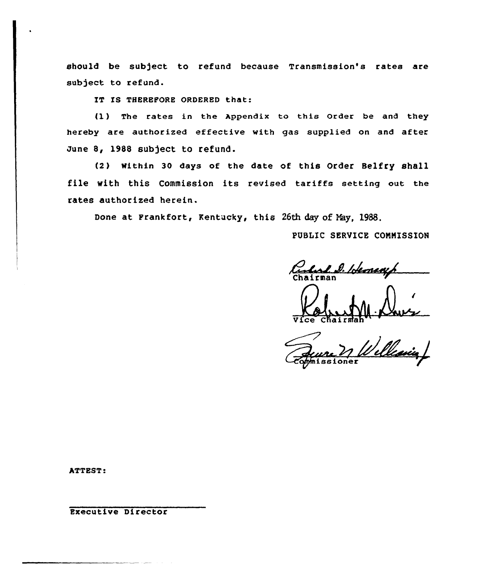should be sub)ect to refund because Transmission's rates are sub)ect to refund.

IT IS THEREFORE ORDERED that:

{1) The rates in the Appendix to this Order be and they hereby are authorized effective with gas supplied on and after June 8, 1988 subject to refund.

(2) Within 30 days of the date of this Order Belfry shall file with this Commission its revised tariffs setting out the rates authorized herein.

Done at Frankfort, Kentucky, this 26th day of Nay, 1988,

PUBLIC SERVICE CONNISSION

Rules D. Herney

Vice Chairma

's issioner

ATTEST:

Executive Director